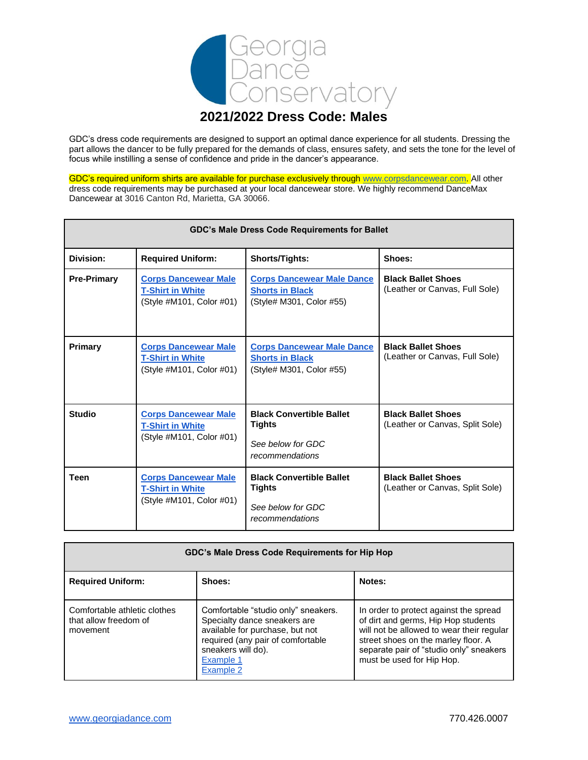

# **2021/2022 Dress Code: Males**

GDC's dress code requirements are designed to support an optimal dance experience for all students. Dressing the part allows the dancer to be fully prepared for the demands of class, ensures safety, and sets the tone for the level of focus while instilling a sense of confidence and pride in the dancer's appearance.

GDC's required uniform shirts are available for purchase exclusively through [www.corpsdancewear.com.](http://www.corpsdancewear.com/) All other dress code requirements may be purchased at your local dancewear store. We highly recommend DanceMax Dancewear at 3016 Canton Rd, Marietta, GA 30066.

| <b>GDC's Male Dress Code Requirements for Ballet</b> |                                                                                    |                                                                                          |                                                              |
|------------------------------------------------------|------------------------------------------------------------------------------------|------------------------------------------------------------------------------------------|--------------------------------------------------------------|
| Division:                                            | <b>Required Uniform:</b>                                                           | Shorts/Tights:                                                                           | Shoes:                                                       |
| <b>Pre-Primary</b>                                   | <b>Corps Dancewear Male</b><br><b>T-Shirt in White</b><br>(Style #M101, Color #01) | <b>Corps Dancewear Male Dance</b><br><b>Shorts in Black</b><br>(Style# M301, Color #55)  | <b>Black Ballet Shoes</b><br>(Leather or Canvas, Full Sole)  |
| Primary                                              | <b>Corps Dancewear Male</b><br><b>T-Shirt in White</b><br>(Style #M101, Color #01) | <b>Corps Dancewear Male Dance</b><br><b>Shorts in Black</b><br>(Style# M301, Color #55)  | <b>Black Ballet Shoes</b><br>(Leather or Canvas, Full Sole)  |
| <b>Studio</b>                                        | <b>Corps Dancewear Male</b><br><b>T-Shirt in White</b><br>(Style #M101, Color #01) | <b>Black Convertible Ballet</b><br><b>Tights</b><br>See below for GDC<br>recommendations | <b>Black Ballet Shoes</b><br>(Leather or Canvas, Split Sole) |
| <b>Teen</b>                                          | <b>Corps Dancewear Male</b><br><b>T-Shirt in White</b><br>(Style #M101, Color #01) | <b>Black Convertible Ballet</b><br><b>Tights</b><br>See below for GDC<br>recommendations | <b>Black Ballet Shoes</b><br>(Leather or Canvas, Split Sole) |

| GDC's Male Dress Code Requirements for Hip Hop                    |                                                                                                                                                                                             |                                                                                                                                                                                                                                           |
|-------------------------------------------------------------------|---------------------------------------------------------------------------------------------------------------------------------------------------------------------------------------------|-------------------------------------------------------------------------------------------------------------------------------------------------------------------------------------------------------------------------------------------|
| <b>Required Uniform:</b>                                          | Shoes:                                                                                                                                                                                      | Notes:                                                                                                                                                                                                                                    |
| Comfortable athletic clothes<br>that allow freedom of<br>movement | Comfortable "studio only" sneakers.<br>Specialty dance sneakers are<br>available for purchase, but not<br>required (any pair of comfortable<br>sneakers will do).<br>Example 1<br>Example 2 | In order to protect against the spread<br>of dirt and germs, Hip Hop students<br>will not be allowed to wear their regular<br>street shoes on the marley floor. A<br>separate pair of "studio only" sneakers<br>must be used for Hip Hop. |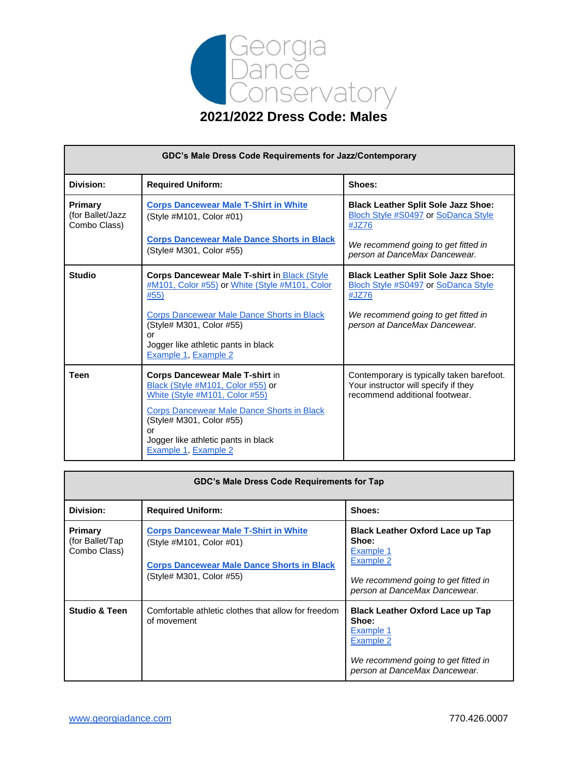

| GDC's Male Dress Code Requirements for Jazz/Contemporary |                                                                                                                                                                                                                                                                     |                                                                                                                     |
|----------------------------------------------------------|---------------------------------------------------------------------------------------------------------------------------------------------------------------------------------------------------------------------------------------------------------------------|---------------------------------------------------------------------------------------------------------------------|
| <b>Division:</b>                                         | <b>Required Uniform:</b>                                                                                                                                                                                                                                            | Shoes:                                                                                                              |
| <b>Primary</b><br>(for Ballet/Jazz<br>Combo Class)       | <b>Corps Dancewear Male T-Shirt in White</b><br>(Style #M101, Color #01)                                                                                                                                                                                            | <b>Black Leather Split Sole Jazz Shoe:</b><br>Bloch Style #S0497 or SoDanca Style<br>#JZ76                          |
|                                                          | <b>Corps Dancewear Male Dance Shorts in Black</b><br>(Style# M301, Color #55)                                                                                                                                                                                       | We recommend going to get fitted in<br>person at DanceMax Dancewear.                                                |
| <b>Studio</b>                                            | <b>Corps Dancewear Male T-shirt in Black (Style</b><br>#M101, Color #55) or White (Style #M101, Color<br>#55)                                                                                                                                                       | <b>Black Leather Split Sole Jazz Shoe:</b><br>Bloch Style #S0497 or SoDanca Style<br>#JZ76                          |
|                                                          | Corps Dancewear Male Dance Shorts in Black<br>(Style# M301, Color #55)<br>or<br>Jogger like athletic pants in black<br>Example 1, Example 2                                                                                                                         | We recommend going to get fitted in<br>person at DanceMax Dancewear.                                                |
| <b>Teen</b>                                              | <b>Corps Dancewear Male T-shirt in</b><br>Black (Style #M101, Color #55) or<br>White (Style #M101, Color #55)<br><b>Corps Dancewear Male Dance Shorts in Black</b><br>(Style# M301, Color #55)<br>or<br>Jogger like athletic pants in black<br>Example 1, Example 2 | Contemporary is typically taken barefoot.<br>Your instructor will specify if they<br>recommend additional footwear. |

| GDC's Male Dress Code Requirements for Tap         |                                                                                                                                                           |                                                                                                                                                    |
|----------------------------------------------------|-----------------------------------------------------------------------------------------------------------------------------------------------------------|----------------------------------------------------------------------------------------------------------------------------------------------------|
| Division:                                          | <b>Required Uniform:</b>                                                                                                                                  | Shoes:                                                                                                                                             |
| <b>Primary</b><br>(for Ballet/Tap)<br>Combo Class) | <b>Corps Dancewear Male T-Shirt in White</b><br>(Style #M101, Color #01)<br><b>Corps Dancewear Male Dance Shorts in Black</b><br>(Style# M301, Color #55) | <b>Black Leather Oxford Lace up Tap</b><br>Shoe:<br>Example 1<br>Example 2<br>We recommend going to get fitted in<br>person at DanceMax Dancewear. |
| <b>Studio &amp; Teen</b>                           | Comfortable athletic clothes that allow for freedom<br>of movement                                                                                        | <b>Black Leather Oxford Lace up Tap</b><br>Shoe:<br>Example 1<br>Example 2<br>We recommend going to get fitted in<br>person at DanceMax Dancewear. |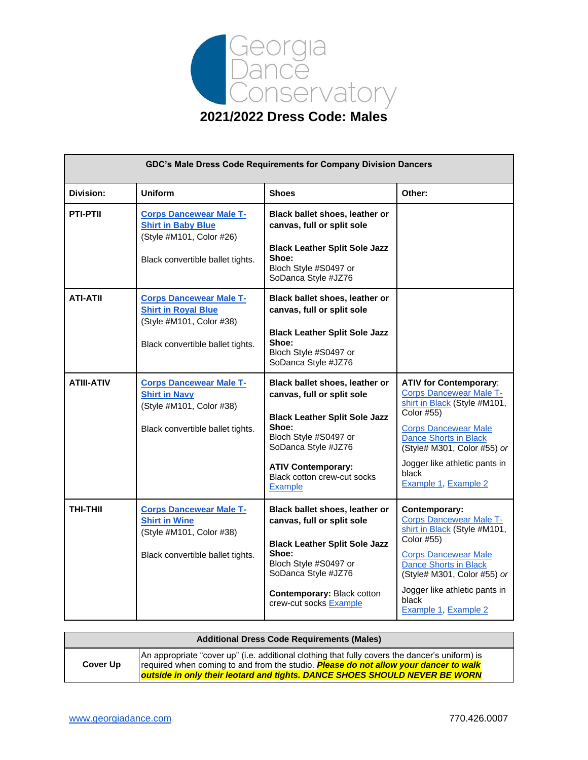

| GDC's Male Dress Code Requirements for Company Division Dancers |                                                                                                                              |                                                                                                                                                                                                                                             |                                                                                                                                                                                                                                                                               |
|-----------------------------------------------------------------|------------------------------------------------------------------------------------------------------------------------------|---------------------------------------------------------------------------------------------------------------------------------------------------------------------------------------------------------------------------------------------|-------------------------------------------------------------------------------------------------------------------------------------------------------------------------------------------------------------------------------------------------------------------------------|
| Division:                                                       | <b>Uniform</b>                                                                                                               | <b>Shoes</b>                                                                                                                                                                                                                                | Other:                                                                                                                                                                                                                                                                        |
| <b>PTI-PTII</b>                                                 | <b>Corps Dancewear Male T-</b><br><b>Shirt in Baby Blue</b><br>(Style #M101, Color #26)<br>Black convertible ballet tights.  | Black ballet shoes, leather or<br>canvas, full or split sole<br><b>Black Leather Split Sole Jazz</b><br>Shoe:<br>Bloch Style #S0497 or<br>SoDanca Style #JZ76                                                                               |                                                                                                                                                                                                                                                                               |
| <b>ATI-ATII</b>                                                 | <b>Corps Dancewear Male T-</b><br><b>Shirt in Royal Blue</b><br>(Style #M101, Color #38)<br>Black convertible ballet tights. | Black ballet shoes, leather or<br>canvas, full or split sole<br><b>Black Leather Split Sole Jazz</b><br>Shoe:<br>Bloch Style #S0497 or<br>SoDanca Style #JZ76                                                                               |                                                                                                                                                                                                                                                                               |
| <b>ATIII-ATIV</b>                                               | <b>Corps Dancewear Male T-</b><br><b>Shirt in Navy</b><br>(Style #M101, Color #38)<br>Black convertible ballet tights.       | Black ballet shoes, leather or<br>canvas, full or split sole<br><b>Black Leather Split Sole Jazz</b><br>Shoe:<br>Bloch Style #S0497 or<br>SoDanca Style #JZ76<br><b>ATIV Contemporary:</b><br>Black cotton crew-cut socks<br><b>Example</b> | <b>ATIV for Contemporary:</b><br><b>Corps Dancewear Male T-</b><br>shirt in Black (Style #M101,<br>Color #55)<br><b>Corps Dancewear Male</b><br><b>Dance Shorts in Black</b><br>(Style# M301, Color #55) or<br>Jogger like athletic pants in<br>black<br>Example 1, Example 2 |
| THI-THII                                                        | <b>Corps Dancewear Male T-</b><br><b>Shirt in Wine</b><br>(Style #M101, Color #38)<br>Black convertible ballet tights.       | Black ballet shoes, leather or<br>canvas, full or split sole<br><b>Black Leather Split Sole Jazz</b><br>Shoe:<br>Bloch Style #S0497 or<br>SoDanca Style #JZ76<br><b>Contemporary: Black cotton</b><br>crew-cut socks Example                | Contemporary:<br><b>Corps Dancewear Male T-</b><br>shirt in Black (Style #M101,<br>Color #55)<br><b>Corps Dancewear Male</b><br><b>Dance Shorts in Black</b><br>(Style# M301, Color #55) or<br>Jogger like athletic pants in<br>black<br>Example 1, Example 2                 |

|          | <b>Additional Dress Code Requirements (Males)</b>                                              |
|----------|------------------------------------------------------------------------------------------------|
|          | An appropriate "cover up" (i.e. additional clothing that fully covers the dancer's uniform) is |
| Cover Up | required when coming to and from the studio. Please do not allow your dancer to walk           |
|          | outside in only their leotard and tights. DANCE SHOES SHOULD NEVER BE WORN                     |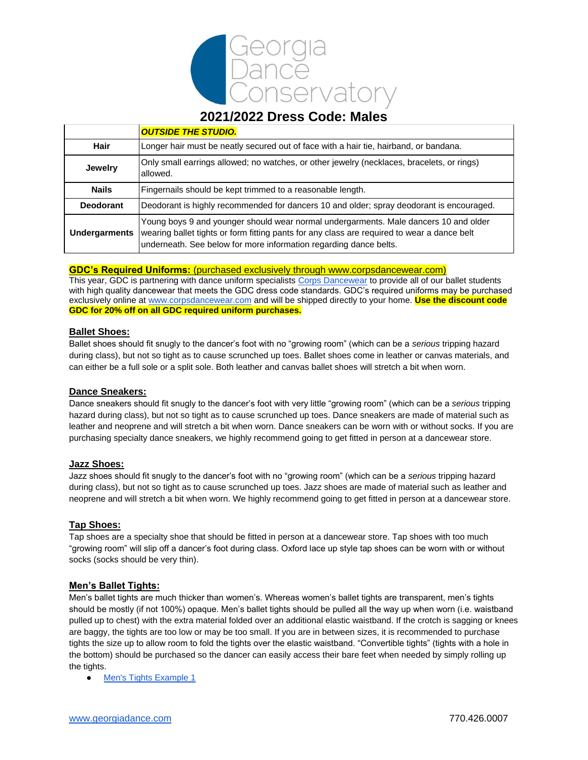

# **2021/2022 Dress Code: Males**

|                      | <b>OUTSIDE THE STUDIO.</b>                                                                                                                                                                                                                               |
|----------------------|----------------------------------------------------------------------------------------------------------------------------------------------------------------------------------------------------------------------------------------------------------|
| Hair                 | Longer hair must be neatly secured out of face with a hair tie, hairband, or bandana.                                                                                                                                                                    |
| <b>Jewelry</b>       | Only small earrings allowed; no watches, or other jewelry (necklaces, bracelets, or rings)<br>allowed.                                                                                                                                                   |
| <b>Nails</b>         | Fingernails should be kept trimmed to a reasonable length.                                                                                                                                                                                               |
| <b>Deodorant</b>     | Deodorant is highly recommended for dancers 10 and older; spray deodorant is encouraged.                                                                                                                                                                 |
| <b>Undergarments</b> | Young boys 9 and younger should wear normal undergarments. Male dancers 10 and older<br>wearing ballet tights or form fitting pants for any class are required to wear a dance belt<br>underneath. See below for more information regarding dance belts. |

### **GDC's Required Uniforms:** (purchased exclusively through www.corpsdancewear.com)

This year, GDC is partnering with dance uniform specialists [Corps Dancewear](https://www.corpsdancewear.com/) to provide all of our ballet students with high quality dancewear that meets the GDC dress code standards. GDC's required uniforms may be purchased exclusively online at [www.corpsdancewear.com](http://www.corpsdancewear.com/) and will be shipped directly to your home. **Use the discount code GDC for 20% off on all GDC required uniform purchases.**

### **Ballet Shoes:**

Ballet shoes should fit snugly to the dancer's foot with no "growing room" (which can be a *serious* tripping hazard during class), but not so tight as to cause scrunched up toes. Ballet shoes come in leather or canvas materials, and can either be a full sole or a split sole. Both leather and canvas ballet shoes will stretch a bit when worn.

### **Dance Sneakers:**

Dance sneakers should fit snugly to the dancer's foot with very little "growing room" (which can be a *serious* tripping hazard during class), but not so tight as to cause scrunched up toes. Dance sneakers are made of material such as leather and neoprene and will stretch a bit when worn. Dance sneakers can be worn with or without socks. If you are purchasing specialty dance sneakers, we highly recommend going to get fitted in person at a dancewear store.

### **Jazz Shoes:**

Jazz shoes should fit snugly to the dancer's foot with no "growing room" (which can be a *serious* tripping hazard during class), but not so tight as to cause scrunched up toes. Jazz shoes are made of material such as leather and neoprene and will stretch a bit when worn. We highly recommend going to get fitted in person at a dancewear store.

# **Tap Shoes:**

Tap shoes are a specialty shoe that should be fitted in person at a dancewear store. Tap shoes with too much "growing room" will slip off a dancer's foot during class. Oxford lace up style tap shoes can be worn with or without socks (socks should be very thin).

# **Men's Ballet Tights:**

Men's ballet tights are much thicker than women's. Whereas women's ballet tights are transparent, men's tights should be mostly (if not 100%) opaque. Men's ballet tights should be pulled all the way up when worn (i.e. waistband pulled up to chest) with the extra material folded over an additional elastic waistband. If the crotch is sagging or knees are baggy, the tights are too low or may be too small. If you are in between sizes, it is recommended to purchase tights the size up to allow room to fold the tights over the elastic waistband. "Convertible tights" (tights with a hole in the bottom) should be purchased so the dancer can easily access their bare feet when needed by simply rolling up the tights.

● [Men's Tights Example 1](https://www.discountdance.com/dancewear/style_B92_html?pid=25130&shop=Style&rfilter=Age%23Boys%3ACategory%23Tights&SID=1466478590)